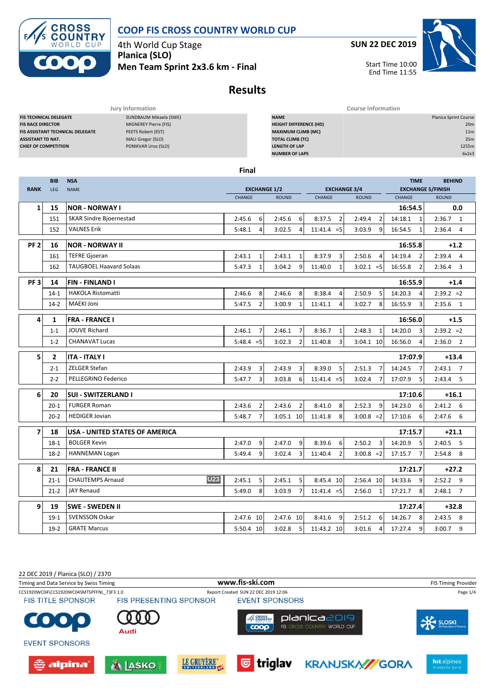

**SUN 22 DEC 2019**

Start Time 10:00 End Time 11:55

4th World Cup Stage **Planica (SLO) Men Team Sprint 2x3.6 km - Final**

# **Results**

|                                         | Jury Information       | <b>Course Information</b>     |                              |
|-----------------------------------------|------------------------|-------------------------------|------------------------------|
| <b>FIS TECHNICAL DELEGATE</b>           | SUNDBAUM Mikaela (SWE) | <b>NAME</b>                   | <b>Planica Sprint Course</b> |
| <b>FIS RACE DIRECTOR</b>                | MIGNEREY Pierre (FIS)  | <b>HEIGHT DIFFERENCE (HD)</b> | 20m                          |
| <b>FIS ASSISTANT TECHNICAL DELEGATE</b> | PEETS Robert (EST)     | <b>MAXIMUM CLIMB (MC)</b>     | 11 <sub>m</sub>              |
| <b>ASSISTANT TD NAT.</b>                | MALI Gregor (SLO)      | <b>TOTAL CLIMB (TC)</b>       | 35m                          |
| <b>CHIEF OF COMPETITION</b>             | PONIKVAR Uros (SLO)    | <b>LENGTH OF LAP</b>          | 1255m                        |
|                                         |                        | <b>NUMBER OF LAPS</b>         | 6x2x3                        |
|                                         |                        |                               |                              |

**Final**

|                 | <b>BIB</b>     | <b>NSA</b>                            | <b>TIME</b>              |                          |                           |                          |                           | <b>BEHIND</b>            |
|-----------------|----------------|---------------------------------------|--------------------------|--------------------------|---------------------------|--------------------------|---------------------------|--------------------------|
| <b>RANK</b>     | LEG            | <b>NAME</b>                           | <b>EXCHANGE 1/2</b>      |                          | <b>EXCHANGE 3/4</b>       |                          | <b>EXCHANGE 5/FINISH</b>  |                          |
|                 |                |                                       | CHANGE                   | <b>ROUND</b>             | CHANGE                    | <b>ROUND</b>             | <b>CHANGE</b>             | <b>ROUND</b>             |
| 1               | 15             | <b>NOR - NORWAY I</b>                 |                          |                          |                           |                          | 16:54.5                   | 0.0                      |
|                 | 151            | <b>SKAR Sindre Bjoernestad</b>        | 6<br>2:45.6              | 2:45.6<br>6              | $\overline{2}$<br>8:37.5  | 2:49.4<br>$\overline{2}$ | 14:18.1<br>$\mathbf{1}$   | 2:36.7<br>$\overline{1}$ |
|                 | 152            | <b>VALNES Erik</b>                    | 5:48.1<br>$\overline{4}$ | 3:02.5<br>$\overline{4}$ | $11:41.4 = 5$             | 3:03.9<br>9              | 16:54.5<br>$\mathbf{1}$   | 2:36.4<br>$\overline{4}$ |
| PF <sub>2</sub> | 16             | <b>NOR - NORWAY II</b>                |                          |                          |                           |                          | 16:55.8                   | $+1.2$                   |
|                 | 161            | <b>TEFRE Gjoeran</b>                  | $\mathbf{1}$<br>2:43.1   | 2:43.1<br>$\mathbf{1}$   | 8:37.9<br>3               | $\overline{4}$<br>2:50.6 | 14:19.4<br>$\overline{2}$ | 2:39.4<br>$\overline{4}$ |
|                 | 162            | <b>TAUGBOEL Haavard Solaas</b>        | $\mathbf{1}$<br>5:47.3   | 9<br>3:04.2              | 11:40.0<br>$\mathbf{1}$   | $3:02.1 = 5$             | 16:55.8<br>$\overline{2}$ | 2:36.4<br>3              |
| PF <sub>3</sub> | 14             | <b>FIN-FINLAND I</b>                  |                          |                          |                           |                          | 16:55.9                   | $+1.4$                   |
|                 | $14-1$         | <b>HAKOLA Ristomatti</b>              | 8<br>2:46.6              | 8<br>2:46.6              | 8:38.4<br>$\overline{4}$  | 2:50.9<br>5              | 14:20.3<br>4              | $2:39.2 = 2$             |
|                 | $14-2$         | <b>MAEKI Joni</b>                     | $\overline{2}$<br>5:47.5 | $\mathbf{1}$<br>3:00.9   | 11:41.1<br>$\Delta$       | 8<br>3:02.7              | $\overline{3}$<br>16:55.9 | 2:35.6<br>1              |
| 4               | 1              | <b>FRA - FRANCE I</b>                 |                          |                          |                           |                          | 16:56.0                   | $+1.5$                   |
|                 | $1 - 1$        | <b>JOUVE Richard</b>                  | 2:46.1<br>$\overline{7}$ | 2:46.1<br>$\overline{7}$ | 8:36.7<br>$\mathbf{1}$    | 2:48.3<br>$\mathbf{1}$   | 14:20.0<br>3              | $2:39.2 = 2$             |
|                 | $1 - 2$        | <b>CHANAVAT Lucas</b>                 | $5:48.4 = 5$             | 3:02.3<br>$\overline{2}$ | 11:40.8<br>3              | 3:04.1 10                | 16:56.0<br>$\overline{4}$ | 2:36.0<br>$\overline{2}$ |
| 5               | $\overline{2}$ | <b>ITA - ITALY I</b>                  |                          |                          |                           |                          | 17:07.9                   | $+13.4$                  |
|                 | $2 - 1$        | <b>ZELGER Stefan</b>                  | 3<br>2:43.9              | 3<br>2:43.9              | 8:39.0<br>5               | $\overline{7}$<br>2:51.3 | 14:24.5<br>$\overline{7}$ | $2:43.1$ 7               |
|                 | $2 - 2$        | PELLEGRINO Federico                   | $\overline{3}$<br>5:47.7 | 3:03.8<br>6              | $11:41.4 = 5$             | 3:02.4<br>$\overline{7}$ | 17:07.9<br>5              | 2:43.4<br>5              |
| 6               | 20             | <b>SUI - SWITZERLAND I</b>            |                          |                          |                           |                          | 17:10.6                   | $+16.1$                  |
|                 | $20 - 1$       | <b>FURGER Roman</b>                   | $\overline{2}$<br>2:43.6 | 2:43.6<br>$\overline{2}$ | 8<br>8:41.0               | 2:52.3<br>9              | 14:23.0<br>6              | $2:41.2$ 6               |
|                 | $20 - 2$       | <b>HEDIGER Jovian</b>                 | $\overline{7}$<br>5:48.7 | $3:05.1$ 10              | 8<br>11:41.8              | $3:00.8 = 2$             | 17:10.6<br>6              | 2:47.6<br>6              |
| $\overline{7}$  | 18             | <b>USA - UNITED STATES OF AMERICA</b> |                          |                          |                           |                          | 17:15.7                   | $+21.1$                  |
|                 | $18-1$         | <b>BOLGER Kevin</b>                   | 9<br>2:47.0              | 9<br>2:47.0              | 8:39.6<br>6               | 2:50.2<br>3              | 14:20.9<br>5              | 2:40.5<br>5              |
|                 | $18-2$         | <b>HANNEMAN Logan</b>                 | 9<br>5:49.4              | $\overline{3}$<br>3:02.4 | 11:40.4<br>$\overline{2}$ | $3:00.8 = 2$             | 17:15.7<br>$\overline{7}$ | $2:54.8$ 8               |
| 8               | 21             | <b>FRA - FRANCE II</b>                |                          |                          |                           |                          | 17:21.7                   | $+27.2$                  |
|                 | $21 - 1$       | <b>U23</b><br><b>CHAUTEMPS Arnaud</b> | 2:45.1<br>5              | 2:45.1<br>5              | 8:45.4 10                 | 2:56.4 10                | 14:33.6<br>9              | 2:52.2<br>9              |
|                 | $21 - 2$       | <b>JAY Renaud</b>                     | 8<br>5:49.0              | 3:03.9<br>$\overline{7}$ | $11:41.4 = 5$             | 2:56.0<br>$\mathbf{1}$   | 17:21.7<br>8              | 2:48.1<br>$\overline{7}$ |
| 9               | 19             | <b>SWE - SWEDEN II</b>                |                          |                          |                           |                          | 17:27.4                   | $+32.8$                  |
|                 | $19-1$         | <b>SVENSSON Oskar</b>                 | 2:47.6 10                | 2:47.6 10                | 9<br>8:41.6               | 2:51.2<br>6              | 14:26.7<br>8              | 2:43.5<br>- 8            |
|                 | $19-2$         | <b>GRATE Marcus</b>                   | 5:50.4 10                | 3:02.8<br>5              | 11:43.2 10                | 3:01.6<br>4              | 17:27.4<br>9              | 3:00.7<br>9              |
|                 |                |                                       |                          |                          |                           |                          |                           |                          |

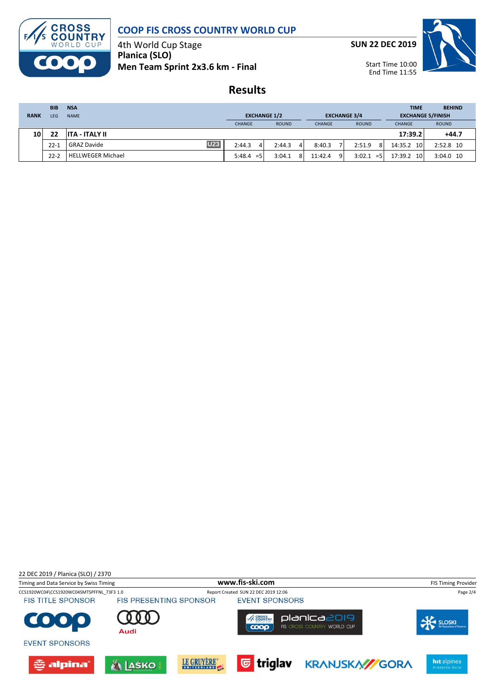

4th World Cup Stage **Planica (SLO) Men Team Sprint 2x3.6 km - Final** **SUN 22 DEC 2019**

Start Time 10:00 End Time 11:55

**Results**

|             | <b>BIB</b> | <b>NSA</b>                       |                     |              |                         |                 | <b>TIME</b>              | <b>BEHIND</b> |
|-------------|------------|----------------------------------|---------------------|--------------|-------------------------|-----------------|--------------------------|---------------|
| <b>RANK</b> | LEG.       | <b>NAME</b>                      | <b>EXCHANGE 1/2</b> |              | <b>EXCHANGE 3/4</b>     |                 | <b>EXCHANGE 5/FINISH</b> |               |
|             |            |                                  | <b>CHANGE</b>       | <b>ROUND</b> | <b>CHANGE</b>           | <b>ROUND</b>    | <b>CHANGE</b>            | <b>ROUND</b>  |
| 10          | 22         | ITA - ITALY II                   |                     |              |                         |                 | 17:39.2                  | $+44.7$       |
|             | $22 - 1$   | <b>U23</b><br><b>GRAZ Davide</b> | 2:44.3<br>4         | 2:44.3<br>4  | 8:40.3                  | 2:51.9<br>8     | 14:35.2<br>10            | 2:52.8 10     |
|             | $22 - 2$   | <b>HELLWEGER Michael</b>         | 5:48.4<br>$=$ 5     | 3:04.1<br>8  | 11:42.4<br>$\mathsf{Q}$ | 3:02.1<br>$=$ 5 | 17:39.2<br>10            | 3:04.0 10     |

22 DEC 2019 / Planica (SLO) / 2370

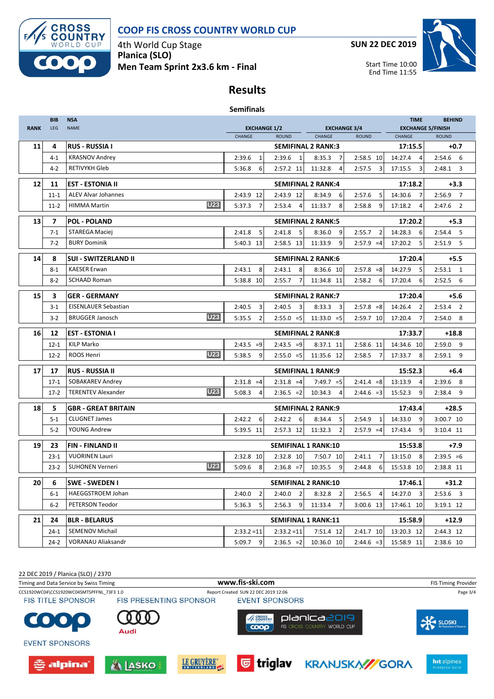

4th World Cup Stage **Planica (SLO) Men Team Sprint 2x3.6 km - Final** **SUN 22 DEC 2019**

End Time 11:55



## **Results**

#### **Semifinals**

| <b>RANK</b> | <b>BIB</b> | <b>NSA</b>                              | <b>EXCHANGE 1/2</b><br><b>EXCHANGE 3/4</b> |                            |                           | <b>TIME</b>              | <b>BEHIND</b><br><b>EXCHANGE 5/FINISH</b> |                          |  |
|-------------|------------|-----------------------------------------|--------------------------------------------|----------------------------|---------------------------|--------------------------|-------------------------------------------|--------------------------|--|
|             | LEG        | <b>NAME</b>                             | CHANGE                                     | <b>ROUND</b>               | CHANGE                    | <b>ROUND</b><br>CHANGE   |                                           | <b>ROUND</b>             |  |
| 11          | 4          | <b>RUS - RUSSIA I</b>                   |                                            | <b>SEMIFINAL 2 RANK:3</b>  |                           |                          | 17:15.5                                   | $+0.7$                   |  |
|             | $4 - 1$    | <b>KRASNOV Andrey</b>                   | 2:39.6<br>1                                | 2:39.6<br>1                | 8:35.3<br>7               | 2:58.5 10                | 14:27.4<br>$\overline{a}$                 | $2:54.6$ 6               |  |
|             | $4-2$      | <b>RETIVYKH Gleb</b>                    | 5:36.8<br>6                                | 2:57.2 11                  | 11:32.8<br>$\overline{4}$ | 3<br>2:57.5              | 17:15.5<br>3                              | 2:48.1<br>3              |  |
| 12          | 11         | <b>EST - ESTONIA II</b>                 |                                            | <b>SEMIFINAL 2 RANK:4</b>  |                           |                          | 17:18.2                                   | $+3.3$                   |  |
|             | $11 - 1$   | <b>ALEV Alvar Johannes</b>              | 2:43.9 12                                  | 2:43.9 12                  | 8:34.9<br>6               | 2:57.6<br>5              | 14:30.6<br>7                              | $\overline{7}$<br>2:56.9 |  |
|             | $11-2$     | <b>U23</b><br><b>HIMMA Martin</b>       | 5:37.3<br>$\overline{7}$                   | 2:53.4<br>$\overline{a}$   | 11:33.7<br>8              | 2:58.8<br>9              | 17:18.2<br>4                              | $2:47.6$ 2               |  |
|             |            |                                         |                                            |                            |                           |                          |                                           |                          |  |
| 13          | 7          | <b>POL - POLAND</b>                     |                                            | <b>SEMIFINAL 2 RANK:5</b>  |                           |                          | 17:20.2                                   | $+5.3$                   |  |
|             | $7 - 1$    | STAREGA Maciej                          | 2:41.8<br>5                                | 5<br>2:41.8                | 8:36.0<br>9               | 2:55.7<br>$\overline{2}$ | 14:28.3<br>6                              | 2:54.4<br>5              |  |
|             | $7 - 2$    | <b>BURY Dominik</b>                     | 5:40.3 13                                  | 2:58.5 13                  | 11:33.9<br>9              | $2:57.9 = 4$             | 17:20.2<br>5                              | $2:51.9$ 5               |  |
| 14          | 8          | <b>SUI - SWITZERLAND II</b>             |                                            | <b>SEMIFINAL 2 RANK:6</b>  |                           |                          | 17:20.4                                   | $+5.5$                   |  |
|             | $8 - 1$    | <b>KAESER Erwan</b>                     | 2:43.1<br>8                                | 2:43.1<br>8                | 8:36.6 10                 | $2:57.8 = 8$             | 14:27.9<br>5                              | $2:53.1$ 1               |  |
|             | $8 - 2$    | <b>SCHAAD Roman</b>                     | 5:38.8 10                                  | 2:55.7<br>$\overline{7}$   | 11:34.8 11                | 2:58.2<br>6              | 17:20.4<br>6                              | 2:52.5<br>6              |  |
| 15          | 3          | <b>GER - GERMANY</b>                    |                                            | <b>SEMIFINAL 2 RANK:7</b>  |                           |                          | 17:20.4                                   | $+5.6$                   |  |
|             | $3 - 1$    | <b>EISENLAUER Sebastian</b>             | 2:40.5<br>3                                | 3<br>2:40.5                | 8:33.3<br>3               | $2:57.8 = 8$             | 14:26.4<br>$\overline{2}$                 | $2:53.4$ 2               |  |
|             | $3-2$      | <b>U23</b><br><b>BRUGGER Janosch</b>    | 5:35.5<br>2                                | $2:55.0 = 5$               | $11:33.0 = 5$             | 2:59.7 10                | 17:20.4<br>7                              | 8<br>2:54.0              |  |
| 16          | 12         | <b>EST - ESTONIA I</b>                  |                                            | <b>SEMIFINAL 2 RANK:8</b>  |                           |                          | 17:33.7                                   | $+18.8$                  |  |
|             | $12 - 1$   | <b>KILP Marko</b>                       | $2:43.5 = 9$                               | $2:43.5 = 9$               | 8:37.1 11                 | 2:58.6 11                | 14:34.6 10                                | 2:59.0<br>- 9            |  |
|             | $12 - 2$   | <b>U23</b><br>ROOS Henri                | 5:38.5<br>9                                | $2:55.0 = 5$               | 11:35.6 12                | 2:58.5<br>7              | 17:33.7<br>8                              | 2:59.1<br>9              |  |
| 17          | 17         | <b>RUS - RUSSIA II</b>                  |                                            | <b>SEMIFINAL 1 RANK:9</b>  |                           |                          | 15:52.3                                   | $+6.4$                   |  |
|             | $17-1$     | SOBAKAREV Andrey                        | $2:31.8 = 4$                               | $2:31.8 = 4$               | $7:49.7 = 5$              | $2:41.4 = 8$             | 13:13.9<br>$\overline{4}$                 | 2:39.6<br>- 8            |  |
|             | $17-2$     | <b>U23</b><br><b>TERENTEV Alexander</b> | 5:08.3<br>$\overline{4}$                   | $2:36.5 = 2$               | 10:34.3<br>$\overline{4}$ | $2:44.6 = 3$             | 15:52.3<br>9                              | 2:38.4<br>9              |  |
|             |            |                                         |                                            |                            |                           |                          |                                           |                          |  |
| 18          | 5          | <b>GBR - GREAT BRITAIN</b>              |                                            | <b>SEMIFINAL 2 RANK:9</b>  |                           |                          | 17:43.4                                   | $+28.5$                  |  |
|             | $5-1$      | <b>CLUGNET James</b>                    | 2:42.2<br>6                                | 2:42.2<br>-6               | 8:34.4<br>5               | 2:54.9<br>1              | 14:33.0<br>9                              | 3:00.7 10                |  |
|             | $5 - 2$    | YOUNG Andrew                            | 5:39.5 11                                  | 2:57.3 12                  | 11:32.3<br>$\overline{2}$ | $2:57.9 = 4$             | 17:43.4<br>9                              | 3:10.4 11                |  |
| 19          | 23         | <b>FIN-FINLAND II</b>                   |                                            | <b>SEMIFINAL 1 RANK:10</b> |                           |                          | 15:53.8                                   | $+7.9$                   |  |
|             | $23 - 1$   | <b>VUORINEN Lauri</b>                   | 2:32.8 10                                  | 2:32.8 10                  | 7:50.7 10                 | 2:41.1<br>7              | 13:15.0<br>8                              | $2:39.5 = 6$             |  |
|             | $23 - 2$   | <b>U23</b><br><b>SUHONEN Verneri</b>    | 5:09.6<br>8                                | $2:36.8 = 7$               | 10:35.5<br>9              | 2:44.8<br>6              | 15:53.8 10                                | 2:38.8 11                |  |
| 20          | 6          | <b>SWE - SWEDEN I</b>                   |                                            | <b>SEMIFINAL 2 RANK:10</b> |                           |                          | 17:46.1                                   | $+31.2$                  |  |
|             | $6 - 1$    | HAEGGSTROEM Johan                       | 2:40.0<br>2                                | 2:40.0<br>$\overline{2}$   | 8:32.8<br>$\overline{2}$  | 2:56.5<br>4              | 14:27.0<br>- 3                            | $2:53.6$ 3               |  |
|             | $6 - 2$    | PETERSON Teodor                         | 5:36.3<br>5                                | 2:56.3<br>9                | 11:33.4<br>$\overline{7}$ | 3:00.6 13                | 17:46.1 10                                | 3:19.1 12                |  |
| 21          | 24         | <b>BLR - BELARUS</b>                    |                                            | <b>SEMIFINAL 1 RANK:11</b> |                           |                          | 15:58.9                                   | $+12.9$                  |  |
|             | $24-1$     | <b>SEMENOV Michail</b>                  | $2:33.2 = 11$                              | $2:33.2 = 11$              | 7:51.4 12                 | 2:41.7 10                | 13:20.3 12                                | 2:44.3 12                |  |
|             | $24-2$     | <b>VORANAU Aliaksandr</b>               | 5:09.7<br>9                                | $2:36.5 = 2$               | 10:36.0 10                | $2:44.6 = 3$             | 15:58.9 11                                | 2:38.6 10                |  |

22 DEC 2019 / Planica (SLO) / 2370 Timing and Data Service by Swiss Timing **WWW.fis-Ski.com www.fis-ski.com** FIS Timing Provider CCS1920WC04\CCS1920WC04SMTSPFFNL\_73F3 1.0 Report Created SUN 22 DEC 2019 12:06 Page 3/4<br>
FIS TITLE SPONSOR FIS PRESENTING SPONSOR EVENT SPONSORS **FIS TITLE SPONSOR EVENT SPONSORS AS CROSS** planica2019  $\bullet$ **AC** SLOSKI  $0000$ FIS CROSS COUNTRY WORLD CUP Audi **EVENT SPONSORS** <mark>画</mark> triglav LE GRUYÈRE" **KRANJSKA//GORA** hit alpinea A LAŠKO 출 alpina'